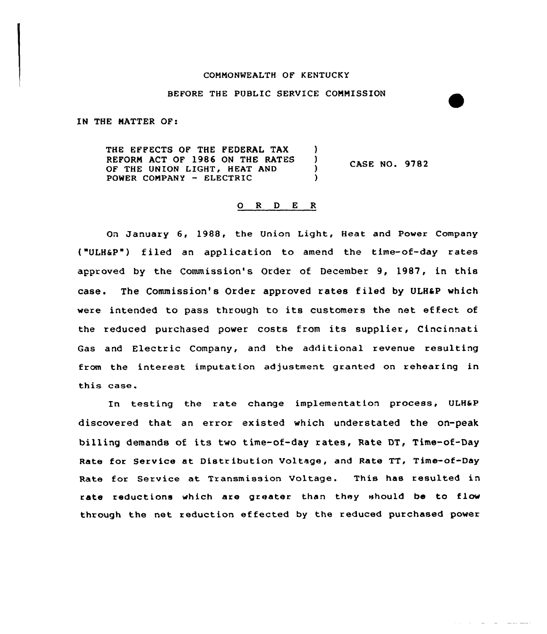#### COMMONWEALTH OF KENTUCKY

# BEFORE THE PUBLIC SERVICE COMMISSION

IN THE MATTER OF:

THE EFFECTS OF THE FEDERAL TAX REFORM ACT OF 1986 ON THE RATES )<br>OF THE UNION LIGHT, HEAT AND OF THE UNION LIGHT, HEAT AND  $($ )<br>power company - Electric POWER COMPANY - ELECTRIC CASE NO. 9782

# 0 <sup>R</sup> <sup>D</sup> E <sup>R</sup>

On January 6, 1988, the Union Light, Heat and Power Company ("ULH6P") filed an application to amend the time-of-day rates approved by the Commission's Order of December 9, 1987, in this case. The Commission's Order approved rates filed by ULHaP which were intended to pass through to its customers the net effect of the reduced purchased power costs from its supplier, Cincinnati Gas and Electric Company, and the additional revenue resulting from the interest imputation adjustment granted on rehearing in this case.

In testing the rate change implementation process, ULH6P discovered that an error existed which understated the on-peak billing demands of its two time-of-day rates, Rate DT, Time-of-Day Rate for Service at Distribution Voltage, and Rate TT, Time-of-Day Rate for Service at Transmission Voltage. This has resulted in rate reductions which are greater than they should be to flow through the net reduction ef fected by the reduced purchased power

وسيستعمل والمستناد والمتعاون والمتناور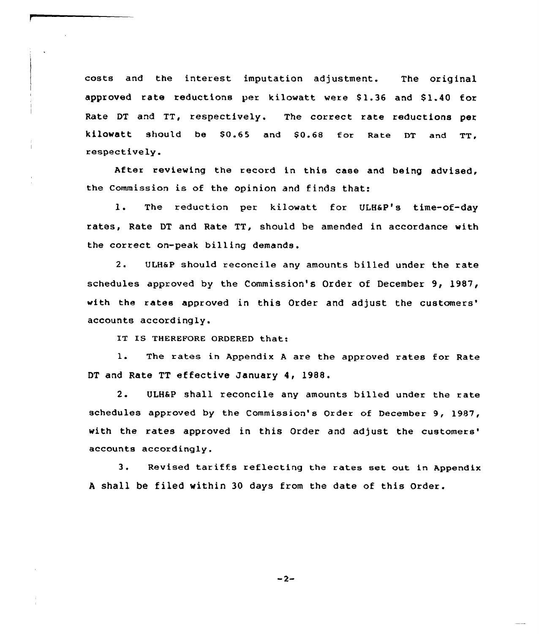costs and the interest imputation adjustment. The original approved rate reductions per kilowatt were \$1.36 and \$1.40 for Rate DT and TT, xespectively. The correct rate reductions per kilowatt should be \$0.65 and \$0.68 for Rate DT and TT. respectively.

After reviewing the record in this case and being advised, the commission is of the opinion and finds that:

1. The reduction per kilowatt for ULH6P's time-of-day rates, Rate DT and Rate TT, should be amended in accordance with the correct on-peak billing demands.

2. ULHeP should reconcile any amounts billed under the rate schedules approved by the Commission's Order of December 9, 1987, with the rates approved in this Order and adjust the customers' accounts accordingly.

IT IS THEREFORE ORDERED that:

1. The rates in Appendix <sup>A</sup> are the approved rates for Rate DT and Rate TT effective January 4, 19BB.

2. ULH6P shall reconcile any amounts billed under the rate schedules approved by the Commission's Order of December 9, 1987, with the rates approved in this Order and adjust the customers' accounts accordingly.

3. Revised tariffs reflecting the rates set out in Appendix <sup>A</sup> shall be filed within 30 days from the date of this Order.

 $-2-$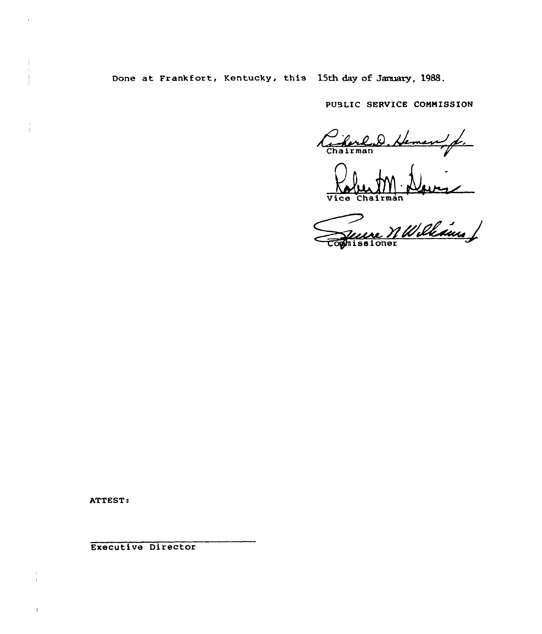Done at Frankfort, Kentucky, this 15th day of January, 1988.

PUBLIC SERVICE CONNISSION

 $22.6$ Chairman

Vice Chairma

sione

ATTEST:

 $\mathbf{I}$ 

Executive Director